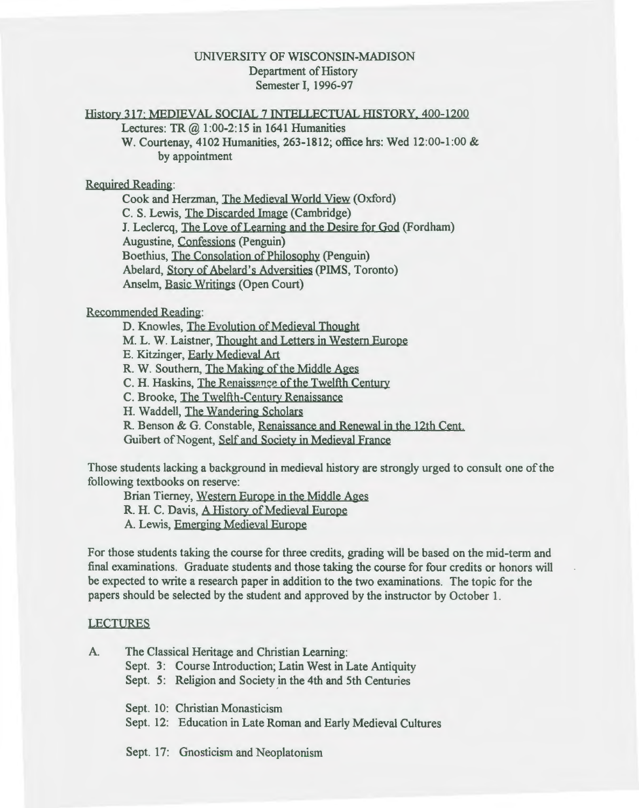# UNIVERSITY OF WISCONSIN-MADISON Department of History Semester I, 1996-97

# History 317: MEDIEVAL SOCIAL 7 INTELLECTUAL HISTORY, 400-1200

Lectures: TR  $(2)$  1:00-2:15 in 1641 Humanities

W. Courtenay, 4102 Humanities, 263-1812; office hrs: Wed 12:00-1:00 & by appointment

### Required Reading:

Cook and Herzman, The Medieval World View (Oxford) C. S. Lewis, The Discarded Image (Cambridge) J. Leclercq, The Love of Learning and the Desire for God (Fordham) Augustine, Confessions (Penguin) Boethius, The Consolation of Philosophy (Penguin) Abelard, Story of Abelard's Adversities (PIMS, Toronto) Anselm, Basic Writings (Open Court)

### Recommended Reading:

D. Knowles, The Evolution of Medieval Thought M. L. W. Laistner, Thought and Letters in Western Europe E. Kitzinger, Early Medieval Art R. W. Southern, The Making of the Middle Ages C. H. Haskins, The Renaissance of the Twelfth Century C. Brooke, The Twelfth-Century Renaissance H. Waddell, The Wandering Scholars R. Benson & G. Constable, Renaissance and Renewal in the 12th Cent. Guibert of Nogent, Self and Society in Medieval France

Those students Jacking a background in medieval history are strongly urged to consult one of the following textbooks on reserve:

Brian Tierney, Western Europe in the Middle Ages

R. H. C. Davis, A History of Medieval Europe

A. Lewis, Emerging Medieval Europe

For those students taking the course for three credits, grading will be based on the mid-term and final examinations. Graduate students and those taking the course for four credits or honors will be expected to write a research paper in addition to the two examinations. The topic for the papers should be selected by the student and approved by the instructor by October 1.

#### LECTURES

A. The Classical Heritage and Christian Learning:

Sept. 3: Course Introduction; Latin West in Late Antiquity

Sept. 5: Religion and Society in the 4th and 5th Centuries

Sept. 10: Christian Monasticism

Sept. 12: Education in Late Roman and Early Medieval Cultures

Sept. 17: Gnosticism and Neoplatonism